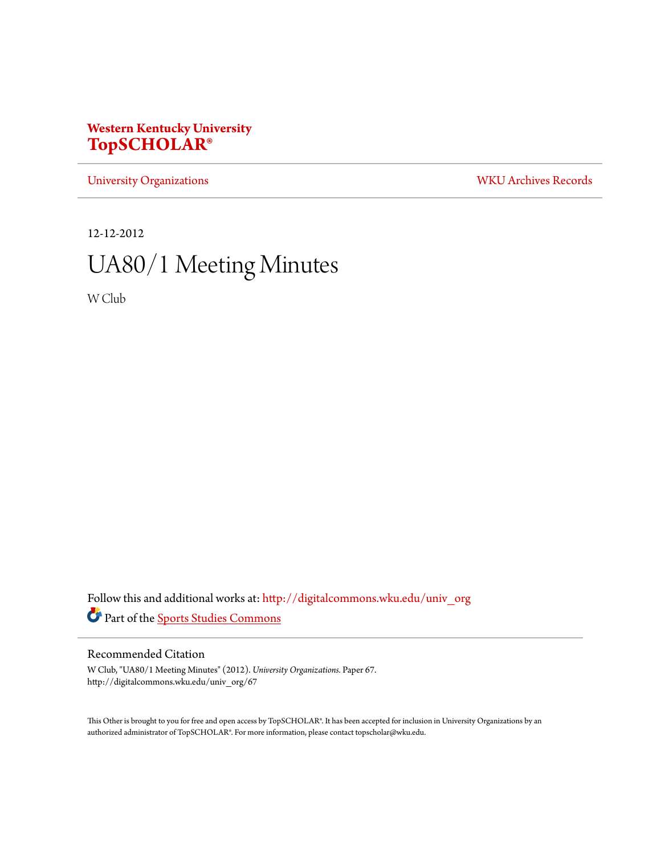# **Western Kentucky University [TopSCHOLAR®](http://digitalcommons.wku.edu?utm_source=digitalcommons.wku.edu%2Funiv_org%2F67&utm_medium=PDF&utm_campaign=PDFCoverPages)**

[University Organizations](http://digitalcommons.wku.edu/univ_org?utm_source=digitalcommons.wku.edu%2Funiv_org%2F67&utm_medium=PDF&utm_campaign=PDFCoverPages) [WKU Archives Records](http://digitalcommons.wku.edu/dlsc_ua_records?utm_source=digitalcommons.wku.edu%2Funiv_org%2F67&utm_medium=PDF&utm_campaign=PDFCoverPages)

12-12-2012 UA80/1 Meeting Minutes

W Club

Follow this and additional works at: [http://digitalcommons.wku.edu/univ\\_org](http://digitalcommons.wku.edu/univ_org?utm_source=digitalcommons.wku.edu%2Funiv_org%2F67&utm_medium=PDF&utm_campaign=PDFCoverPages) Part of the [Sports Studies Commons](http://network.bepress.com/hgg/discipline/1198?utm_source=digitalcommons.wku.edu%2Funiv_org%2F67&utm_medium=PDF&utm_campaign=PDFCoverPages)

Recommended Citation

W Club, "UA80/1 Meeting Minutes" (2012). *University Organizations.* Paper 67. http://digitalcommons.wku.edu/univ\_org/67

This Other is brought to you for free and open access by TopSCHOLAR®. It has been accepted for inclusion in University Organizations by an authorized administrator of TopSCHOLAR®. For more information, please contact topscholar@wku.edu.